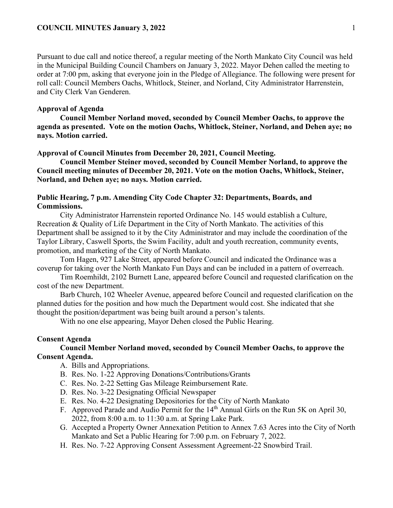Pursuant to due call and notice thereof, a regular meeting of the North Mankato City Council was held in the Municipal Building Council Chambers on January 3, 2022. Mayor Dehen called the meeting to order at 7:00 pm, asking that everyone join in the Pledge of Allegiance. The following were present for roll call: Council Members Oachs, Whitlock, Steiner, and Norland, City Administrator Harrenstein, and City Clerk Van Genderen.

#### **Approval of Agenda**

**Council Member Norland moved, seconded by Council Member Oachs, to approve the agenda as presented. Vote on the motion Oachs, Whitlock, Steiner, Norland, and Dehen aye; no nays. Motion carried.** 

#### **Approval of Council Minutes from December 20, 2021, Council Meeting.**

**Council Member Steiner moved, seconded by Council Member Norland, to approve the Council meeting minutes of December 20, 2021. Vote on the motion Oachs, Whitlock, Steiner, Norland, and Dehen aye; no nays. Motion carried.** 

### **Public Hearing, 7 p.m. Amending City Code Chapter 32: Departments, Boards, and Commissions.**

City Administrator Harrenstein reported Ordinance No. 145 would establish a Culture, Recreation & Quality of Life Department in the City of North Mankato. The activities of this Department shall be assigned to it by the City Administrator and may include the coordination of the Taylor Library, Caswell Sports, the Swim Facility, adult and youth recreation, community events, promotion, and marketing of the City of North Mankato.

Tom Hagen, 927 Lake Street, appeared before Council and indicated the Ordinance was a coverup for taking over the North Mankato Fun Days and can be included in a pattern of overreach.

Tim Roemhildt, 2102 Burnett Lane, appeared before Council and requested clarification on the cost of the new Department.

Barb Church, 102 Wheeler Avenue, appeared before Council and requested clarification on the planned duties for the position and how much the Department would cost. She indicated that she thought the position/department was being built around a person's talents.

With no one else appearing, Mayor Dehen closed the Public Hearing.

## **Consent Agenda**

#### **Council Member Norland moved, seconded by Council Member Oachs, to approve the Consent Agenda.**

- A. Bills and Appropriations.
- B. Res. No. 1-22 Approving Donations/Contributions/Grants
- C. Res. No. 2-22 Setting Gas Mileage Reimbursement Rate.
- D. Res. No. 3-22 Designating Official Newspaper
- E. Res. No. 4-22 Designating Depositories for the City of North Mankato
- F. Approved Parade and Audio Permit for the 14<sup>th</sup> Annual Girls on the Run 5K on April 30, 2022, from 8:00 a.m. to 11:30 a.m. at Spring Lake Park.
- G. Accepted a Property Owner Annexation Petition to Annex 7.63 Acres into the City of North Mankato and Set a Public Hearing for 7:00 p.m. on February 7, 2022.
- H. Res. No. 7-22 Approving Consent Assessment Agreement-22 Snowbird Trail.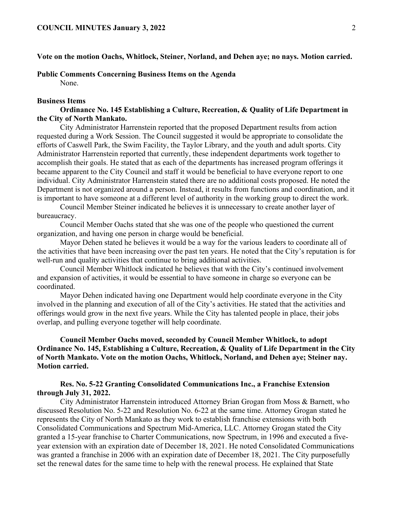## **Vote on the motion Oachs, Whitlock, Steiner, Norland, and Dehen aye; no nays. Motion carried.**

#### **Public Comments Concerning Business Items on the Agenda**

None.

#### **Business Items**

# **Ordinance No. 145 Establishing a Culture, Recreation, & Quality of Life Department in the City of North Mankato.**

City Administrator Harrenstein reported that the proposed Department results from action requested during a Work Session. The Council suggested it would be appropriate to consolidate the efforts of Caswell Park, the Swim Facility, the Taylor Library, and the youth and adult sports. City Administrator Harrenstein reported that currently, these independent departments work together to accomplish their goals. He stated that as each of the departments has increased program offerings it became apparent to the City Council and staff it would be beneficial to have everyone report to one individual. City Administrator Harrenstein stated there are no additional costs proposed. He noted the Department is not organized around a person. Instead, it results from functions and coordination, and it is important to have someone at a different level of authority in the working group to direct the work.

Council Member Steiner indicated he believes it is unnecessary to create another layer of bureaucracy.

Council Member Oachs stated that she was one of the people who questioned the current organization, and having one person in charge would be beneficial.

Mayor Dehen stated he believes it would be a way for the various leaders to coordinate all of the activities that have been increasing over the past ten years. He noted that the City's reputation is for well-run and quality activities that continue to bring additional activities.

Council Member Whitlock indicated he believes that with the City's continued involvement and expansion of activities, it would be essential to have someone in charge so everyone can be coordinated.

Mayor Dehen indicated having one Department would help coordinate everyone in the City involved in the planning and execution of all of the City's activities. He stated that the activities and offerings would grow in the next five years. While the City has talented people in place, their jobs overlap, and pulling everyone together will help coordinate.

# **Council Member Oachs moved, seconded by Council Member Whitlock, to adopt Ordinance No. 145, Establishing a Culture, Recreation, & Quality of Life Department in the City of North Mankato. Vote on the motion Oachs, Whitlock, Norland, and Dehen aye; Steiner nay. Motion carried.**

## **Res. No. 5-22 Granting Consolidated Communications Inc., a Franchise Extension through July 31, 2022.**

City Administrator Harrenstein introduced Attorney Brian Grogan from Moss & Barnett, who discussed Resolution No. 5-22 and Resolution No. 6-22 at the same time. Attorney Grogan stated he represents the City of North Mankato as they work to establish franchise extensions with both Consolidated Communications and Spectrum Mid-America, LLC. Attorney Grogan stated the City granted a 15-year franchise to Charter Communications, now Spectrum, in 1996 and executed a fiveyear extension with an expiration date of December 18, 2021. He noted Consolidated Communications was granted a franchise in 2006 with an expiration date of December 18, 2021. The City purposefully set the renewal dates for the same time to help with the renewal process. He explained that State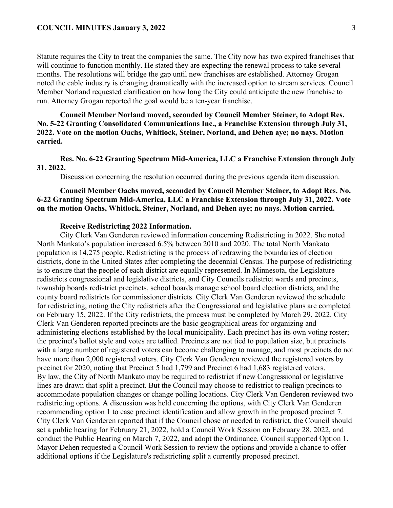Statute requires the City to treat the companies the same. The City now has two expired franchises that will continue to function monthly. He stated they are expecting the renewal process to take several months. The resolutions will bridge the gap until new franchises are established. Attorney Grogan noted the cable industry is changing dramatically with the increased option to stream services. Council Member Norland requested clarification on how long the City could anticipate the new franchise to run. Attorney Grogan reported the goal would be a ten-year franchise.

## **Council Member Norland moved, seconded by Council Member Steiner, to Adopt Res. No. 5-22 Granting Consolidated Communications Inc., a Franchise Extension through July 31, 2022. Vote on the motion Oachs, Whitlock, Steiner, Norland, and Dehen aye; no nays. Motion carried.**

**Res. No. 6-22 Granting Spectrum Mid-America, LLC a Franchise Extension through July 31, 2022.** 

Discussion concerning the resolution occurred during the previous agenda item discussion.

# **Council Member Oachs moved, seconded by Council Member Steiner, to Adopt Res. No. 6-22 Granting Spectrum Mid-America, LLC a Franchise Extension through July 31, 2022. Vote on the motion Oachs, Whitlock, Steiner, Norland, and Dehen aye; no nays. Motion carried.**

#### **Receive Redistricting 2022 Information.**

City Clerk Van Genderen reviewed information concerning Redistricting in 2022. She noted North Mankato's population increased 6.5% between 2010 and 2020. The total North Mankato population is 14,275 people. Redistricting is the process of redrawing the boundaries of election districts, done in the United States after completing the decennial Census. The purpose of redistricting is to ensure that the people of each district are equally represented. In Minnesota, the Legislature redistricts congressional and legislative districts, and City Councils redistrict wards and precincts, township boards redistrict precincts, school boards manage school board election districts, and the county board redistricts for commissioner districts. City Clerk Van Genderen reviewed the schedule for redistricting, noting the City redistricts after the Congressional and legislative plans are completed on February 15, 2022. If the City redistricts, the process must be completed by March 29, 2022. City Clerk Van Genderen reported precincts are the basic geographical areas for organizing and administering elections established by the local municipality. Each precinct has its own voting roster; the precinct's ballot style and votes are tallied. Precincts are not tied to population size, but precincts with a large number of registered voters can become challenging to manage, and most precincts do not have more than 2,000 registered voters. City Clerk Van Genderen reviewed the registered voters by precinct for 2020, noting that Precinct 5 had 1,799 and Precinct 6 had 1,683 registered voters. By law, the City of North Mankato may be required to redistrict if new Congressional or legislative lines are drawn that split a precinct. But the Council may choose to redistrict to realign precincts to accommodate population changes or change polling locations. City Clerk Van Genderen reviewed two redistricting options. A discussion was held concerning the options, with City Clerk Van Genderen recommending option 1 to ease precinct identification and allow growth in the proposed precinct 7. City Clerk Van Genderen reported that if the Council chose or needed to redistrict, the Council should set a public hearing for February 21, 2022, hold a Council Work Session on February 28, 2022, and conduct the Public Hearing on March 7, 2022, and adopt the Ordinance. Council supported Option 1. Mayor Dehen requested a Council Work Session to review the options and provide a chance to offer additional options if the Legislature's redistricting split a currently proposed precinct.